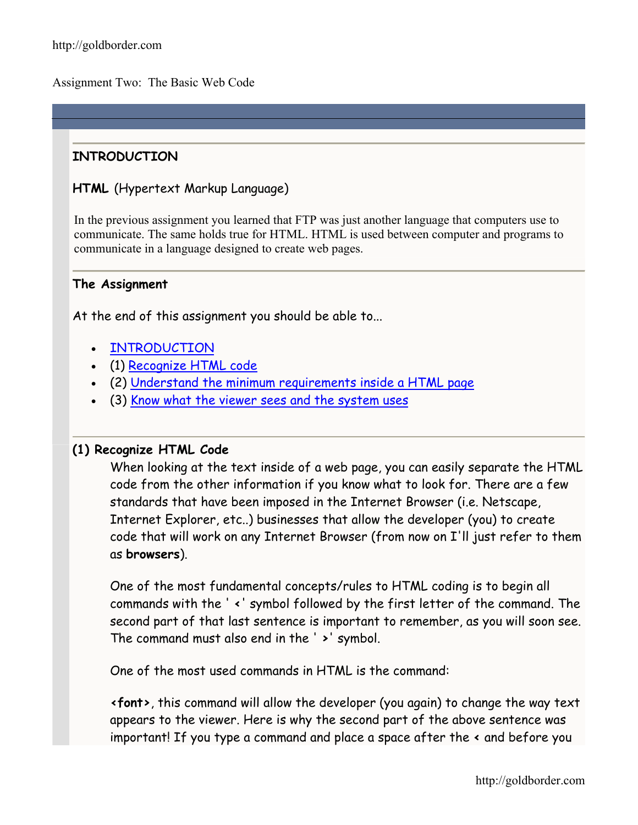Assignment Two: The Basic Web Code

# **INTRODUCTION**

### **HTML** (Hypertext Markup Language)

In the previous assignment you learned that FTP was just another language that computers use to communicate. The same holds true for HTML. HTML is used between computer and programs to communicate in a language designed to create web pages.

#### **The Assignment**

At the end of this assignment you should be able to...

- [INTRODUCTION](http://goldborder.com/htmlguide/assign2.htm)
- (1) [Recognize HTML code](http://goldborder.com/htmlguide/assign2.htm)
- (2) [Understand the minimum requirements inside a HTML page](http://goldborder.com/htmlguide/assign2.htm)
- (3) [Know what the viewer sees and the system uses](http://goldborder.com/htmlguide/assign2.htm)

#### **(1) Recognize HTML Code**

When looking at the text inside of a web page, you can easily separate the HTML code from the other information if you know what to look for. There are a few standards that have been imposed in the Internet Browser (i.e. Netscape, Internet Explorer, etc..) businesses that allow the developer (you) to create code that will work on any Internet Browser (from now on I'll just refer to them as **browsers**).

One of the most fundamental concepts/rules to HTML coding is to begin all commands with the ' **<**' symbol followed by the first letter of the command. The second part of that last sentence is important to remember, as you will soon see. The command must also end in the ' **>**' symbol.

One of the most used commands in HTML is the command:

**<font>**, this command will allow the developer (you again) to change the way text appears to the viewer. Here is why the second part of the above sentence was important! If you type a command and place a space after the **<** and before you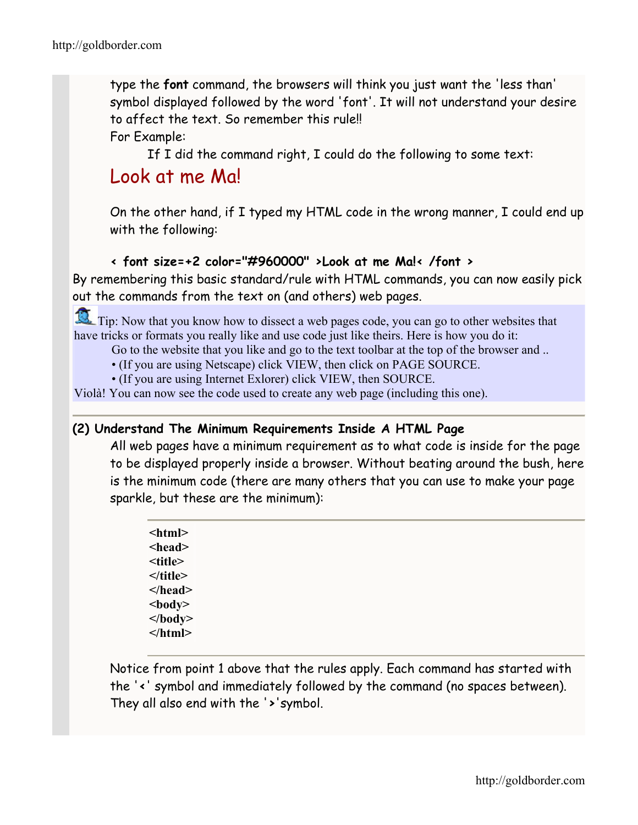type the **font** command, the browsers will think you just want the 'less than' symbol displayed followed by the word 'font'. It will not understand your desire to affect the text. So remember this rule!! For Example:

If I did the command right, I could do the following to some text:

# Look at me Ma!

On the other hand, if I typed my HTML code in the wrong manner, I could end up with the following:

# **< font size=+2 color="#960000" >Look at me Ma!< /font >**

By remembering this basic standard/rule with HTML commands, you can now easily pick out the commands from the text on (and others) web pages.

Tip: Now that you know how to dissect a web pages code, you can go to other websites that have tricks or formats you really like and use code just like theirs. Here is how you do it:

Go to the website that you like and go to the text toolbar at the top of the browser and ..

- (If you are using Netscape) click VIEW, then click on PAGE SOURCE.
- (If you are using Internet Exlorer) click VIEW, then SOURCE.

Violà! You can now see the code used to create any web page (including this one).

## **(2) Understand The Minimum Requirements Inside A HTML Page**

All web pages have a minimum requirement as to what code is inside for the page to be displayed properly inside a browser. Without beating around the bush, here is the minimum code (there are many others that you can use to make your page sparkle, but these are the minimum):

| <html></html>   |
|-----------------|
| <head></head>   |
| <title></title> |
| $\le$ /title>   |
|                 |
| $<$ body $>$    |
| $<$ /body>      |
|                 |
|                 |

Notice from point 1 above that the rules apply. Each command has started with the '**<**' symbol and immediately followed by the command (no spaces between). They all also end with the '**>**'symbol.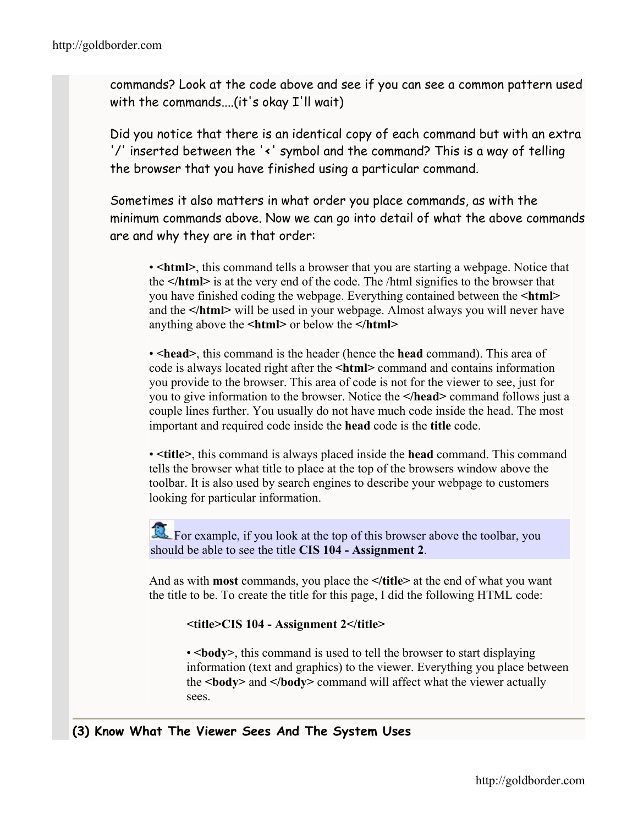commands? Look at the code above and see if you can see a common pattern used with the commands....(it's okay I'll wait)

Did you notice that there is an identical copy of each command but with an extra '/' inserted between the '**<**' symbol and the command? This is a way of telling the browser that you have finished using a particular command.

Sometimes it also matters in what order you place commands, as with the minimum commands above. Now we can go into detail of what the above commands are and why they are in that order:

• **If**  $\epsilon$  **html>**, this command tells a browser that you are starting a webpage. Notice that the **</html>** is at the very end of the code. The /html signifies to the browser that you have finished coding the webpage. Everything contained between the **<html>** and the **</html>** will be used in your webpage. Almost always you will never have anything above the **<html>** or below the **</html>**

•  $\epsilon$  **head**, this command is the header (hence the **head** command). This area of code is always located right after the **<html>** command and contains information you provide to the browser. This area of code is not for the viewer to see, just for you to give information to the browser. Notice the **</head>** command follows just a couple lines further. You usually do not have much code inside the head. The most important and required code inside the **head** code is the **title** code.

• **<title>**, this command is always placed inside the **head** command. This command tells the browser what title to place at the top of the browsers window above the toolbar. It is also used by search engines to describe your webpage to customers looking for particular information.

For example, if you look at the top of this browser above the toolbar, you should be able to see the title **CIS 104 - Assignment 2**.

And as with **most** commands, you place the **</title>** at the end of what you want the title to be. To create the title for this page, I did the following HTML code:

**<title>CIS 104 - Assignment 2</title>**

• **body**, this command is used to tell the browser to start displaying information (text and graphics) to the viewer. Everything you place between the **<body>** and **</body>** command will affect what the viewer actually sees.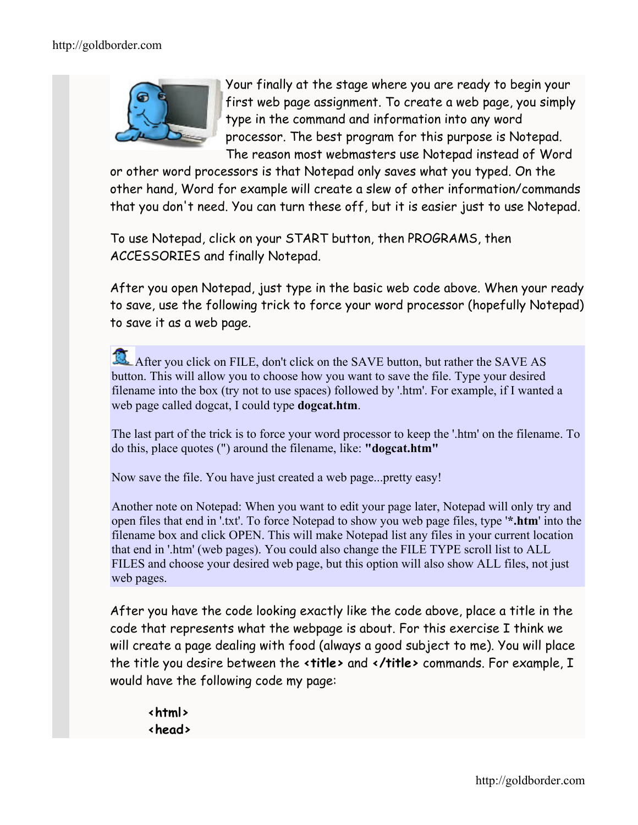

Your finally at the stage where you are ready to begin your first web page assignment. To create a web page, you simply type in the command and information into any word processor. The best program for this purpose is Notepad. The reason most webmasters use Notepad instead of Word

or other word processors is that Notepad only saves what you typed. On the other hand, Word for example will create a slew of other information/commands that you don't need. You can turn these off, but it is easier just to use Notepad.

To use Notepad, click on your START button, then PROGRAMS, then ACCESSORIES and finally Notepad.

After you open Notepad, just type in the basic web code above. When your ready to save, use the following trick to force your word processor (hopefully Notepad) to save it as a web page.

After you click on FILE, don't click on the SAVE button, but rather the SAVE AS button. This will allow you to choose how you want to save the file. Type your desired filename into the box (try not to use spaces) followed by '.htm'. For example, if I wanted a web page called dogcat, I could type **dogcat.htm**.

The last part of the trick is to force your word processor to keep the '.htm' on the filename. To do this, place quotes (") around the filename, like: **"dogcat.htm"**

Now save the file. You have just created a web page...pretty easy!

Another note on Notepad: When you want to edit your page later, Notepad will only try and open files that end in '.txt'. To force Notepad to show you web page files, type '**\*.htm**' into the filename box and click OPEN. This will make Notepad list any files in your current location that end in '.htm' (web pages). You could also change the FILE TYPE scroll list to ALL FILES and choose your desired web page, but this option will also show ALL files, not just web pages.

After you have the code looking exactly like the code above, place a title in the code that represents what the webpage is about. For this exercise I think we will create a page dealing with food (always a good subject to me). You will place the title you desire between the **<title>** and **</title>** commands. For example, I would have the following code my page:

**<html> <head>**